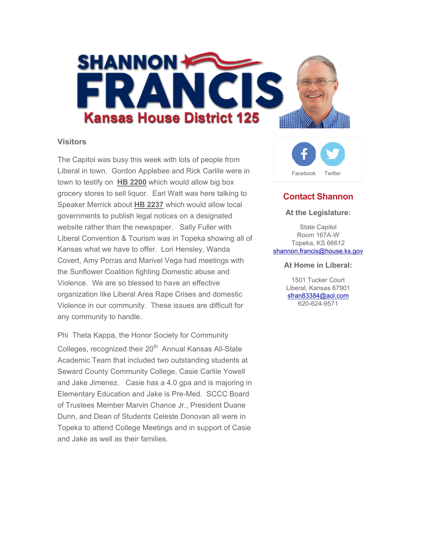

### **Visitors**

The Capitol was busy this week with lots of people from Liberal in town. Gordon Applebee and Rick Carlile were in town to testify on **HB 2200** which would allow big box grocery stores to sell liquor. Earl Watt was here talking to Speaker Merrick about **HB 2237** which would allow local governments to publish legal notices on a designated website rather than the newspaper. Sally Fuller with Liberal Convention & Tourism was in Topeka showing all of Kansas what we have to offer. Lori Hensley, Wanda Covert, Amy Porras and Marivel Vega had meetings with the Sunflower Coalition fighting Domestic abuse and Violence. We are so blessed to have an effective organization like Liberal Area Rape Crises and domestic Violence in our community. These issues are difficult for any community to handle.

Phi Theta Kappa, the Honor Society for Community Colleges, recognized their 20<sup>th</sup> Annual Kansas All-State Academic Team that included two outstanding students at Seward County Community College, Casie Carlile Yowell and Jake Jimenez. Casie has a 4.0 gpa and is majoring in Elementary Education and Jake is Pre-Med. SCCC Board of Trustees Member Marvin Chance Jr., President Duane Dunn, and Dean of Students Celeste Donovan all were in Topeka to attend College Meetings and in support of Casie and Jake as well as their families.



# **Contact Shannon**

#### **At the Legislature:**

State Capitol Room 167A-W Topeka, KS 66612 shannon.francis@house.ks.gov

#### **At Home in Liberal:**

1501 Tucker Court Liberal, Kansas 67901 sfran83384@aol.com 620-624-9571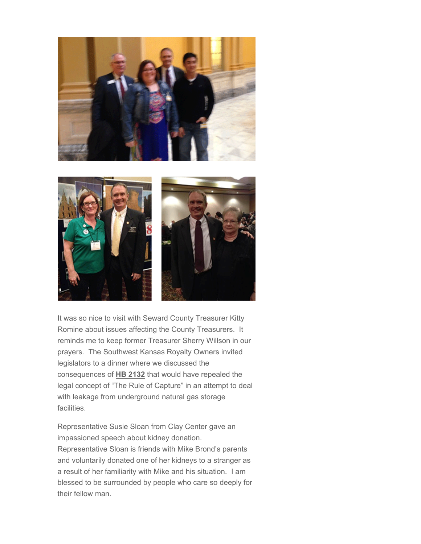

It was so nice to visit with Seward County Treasurer Kitty Romine about issues affecting the County Treasurers. It reminds me to keep former Treasurer Sherry Willson in our prayers. The Southwest Kansas Royalty Owners invited legislators to a dinner where we discussed the consequences of **HB 2132** that would have repealed the legal concept of "The Rule of Capture" in an attempt to deal with leakage from underground natural gas storage facilities.

Representative Susie Sloan from Clay Center gave an impassioned speech about kidney donation. Representative Sloan is friends with Mike Brond's parents and voluntarily donated one of her kidneys to a stranger as a result of her familiarity with Mike and his situation. I am blessed to be surrounded by people who care so deeply for their fellow man.